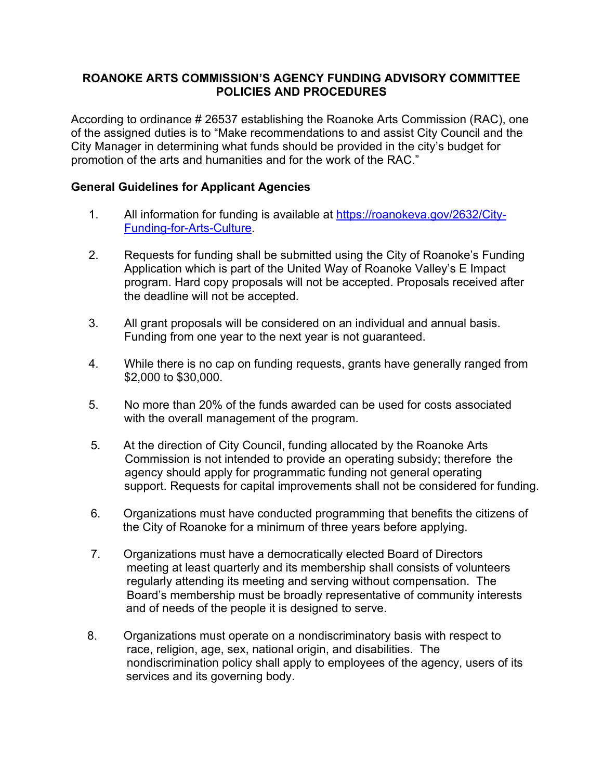# **ROANOKE ARTS COMMISSION'S AGENCY FUNDING ADVISORY COMMITTEE POLICIES AND PROCEDURES**

According to ordinance # 26537 establishing the Roanoke Arts Commission (RAC), one of the assigned duties is to "Make recommendations to and assist City Council and the City Manager in determining what funds should be provided in the city's budget for promotion of the arts and humanities and for the work of the RAC."

# **General Guidelines for Applicant Agencies**

- 1. All information for funding is available at https://roanokeva.gov/2632/City-Funding-for-Arts-Culture.
- 2. Requests for funding shall be submitted using the City of Roanoke's Funding Application which is part of the United Way of Roanoke Valley's E Impact program. Hard copy proposals will not be accepted. Proposals received after the deadline will not be accepted.
- 3. All grant proposals will be considered on an individual and annual basis. Funding from one year to the next year is not guaranteed.
- 4. While there is no cap on funding requests, grants have generally ranged from \$2,000 to \$30,000.
- 5. No more than 20% of the funds awarded can be used for costs associated with the overall management of the program.
- 5. At the direction of City Council, funding allocated by the Roanoke Arts Commission is not intended to provide an operating subsidy; therefore the agency should apply for programmatic funding not general operating support. Requests for capital improvements shall not be considered for funding.
- 6. Organizations must have conducted programming that benefits the citizens of the City of Roanoke for a minimum of three years before applying.
- 7. Organizations must have a democratically elected Board of Directors meeting at least quarterly and its membership shall consists of volunteers regularly attending its meeting and serving without compensation. The Board's membership must be broadly representative of community interests and of needs of the people it is designed to serve.
- 8. Organizations must operate on a nondiscriminatory basis with respect to race, religion, age, sex, national origin, and disabilities. The nondiscrimination policy shall apply to employees of the agency, users of its services and its governing body.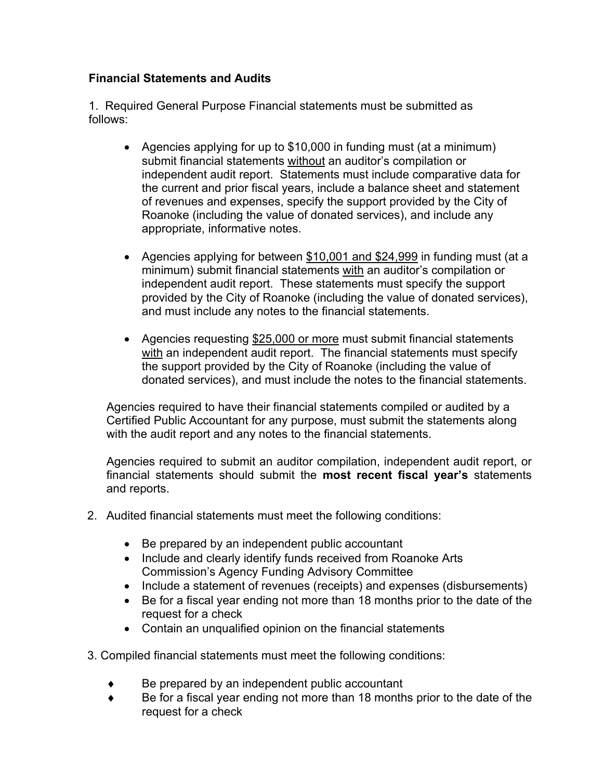# **Financial Statements and Audits**

1. Required General Purpose Financial statements must be submitted as follows:

- Agencies applying for up to \$10,000 in funding must (at a minimum) submit financial statements without an auditor's compilation or independent audit report. Statements must include comparative data for the current and prior fiscal years, include a balance sheet and statement of revenues and expenses, specify the support provided by the City of Roanoke (including the value of donated services), and include any appropriate, informative notes.
- Agencies applying for between \$10,001 and \$24,999 in funding must (at a minimum) submit financial statements with an auditor's compilation or independent audit report. These statements must specify the support provided by the City of Roanoke (including the value of donated services), and must include any notes to the financial statements.
- Agencies requesting \$25,000 or more must submit financial statements with an independent audit report. The financial statements must specify the support provided by the City of Roanoke (including the value of donated services), and must include the notes to the financial statements.

Agencies required to have their financial statements compiled or audited by a Certified Public Accountant for any purpose, must submit the statements along with the audit report and any notes to the financial statements.

Agencies required to submit an auditor compilation, independent audit report, or financial statements should submit the **most recent fiscal year's** statements and reports.

- 2. Audited financial statements must meet the following conditions:
	- Be prepared by an independent public accountant
	- Include and clearly identify funds received from Roanoke Arts Commission's Agency Funding Advisory Committee
	- Include a statement of revenues (receipts) and expenses (disbursements)
	- Be for a fiscal year ending not more than 18 months prior to the date of the request for a check
	- Contain an unqualified opinion on the financial statements
- 3. Compiled financial statements must meet the following conditions:
	- $\bullet$  Be prepared by an independent public accountant
	- $\bullet$  Be for a fiscal year ending not more than 18 months prior to the date of the request for a check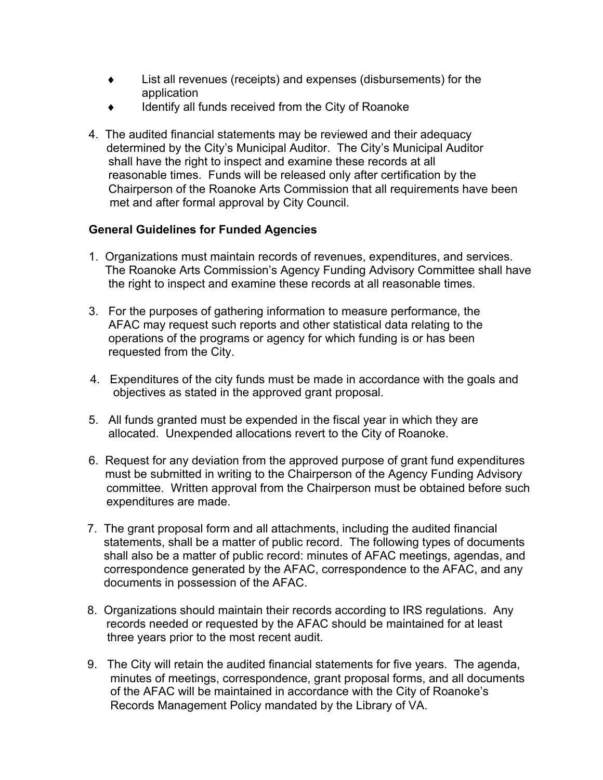- $\bullet$  List all revenues (receipts) and expenses (disbursements) for the application
- Identify all funds received from the City of Roanoke
- 4. The audited financial statements may be reviewed and their adequacy determined by the City's Municipal Auditor. The City's Municipal Auditor shall have the right to inspect and examine these records at all reasonable times. Funds will be released only after certification by the Chairperson of the Roanoke Arts Commission that all requirements have been met and after formal approval by City Council.

## **General Guidelines for Funded Agencies**

- 1. Organizations must maintain records of revenues, expenditures, and services. The Roanoke Arts Commission's Agency Funding Advisory Committee shall have the right to inspect and examine these records at all reasonable times.
- 3. For the purposes of gathering information to measure performance, the AFAC may request such reports and other statistical data relating to the operations of the programs or agency for which funding is or has been requested from the City.
- 4. Expenditures of the city funds must be made in accordance with the goals and objectives as stated in the approved grant proposal.
- 5. All funds granted must be expended in the fiscal year in which they are allocated. Unexpended allocations revert to the City of Roanoke.
- 6. Request for any deviation from the approved purpose of grant fund expenditures must be submitted in writing to the Chairperson of the Agency Funding Advisory committee. Written approval from the Chairperson must be obtained before such expenditures are made.
- 7. The grant proposal form and all attachments, including the audited financial statements, shall be a matter of public record. The following types of documents shall also be a matter of public record: minutes of AFAC meetings, agendas, and correspondence generated by the AFAC, correspondence to the AFAC, and any documents in possession of the AFAC.
- 8. Organizations should maintain their records according to IRS regulations. Any records needed or requested by the AFAC should be maintained for at least three years prior to the most recent audit.
- 9. The City will retain the audited financial statements for five years. The agenda, minutes of meetings, correspondence, grant proposal forms, and all documents of the AFAC will be maintained in accordance with the City of Roanoke's Records Management Policy mandated by the Library of VA.